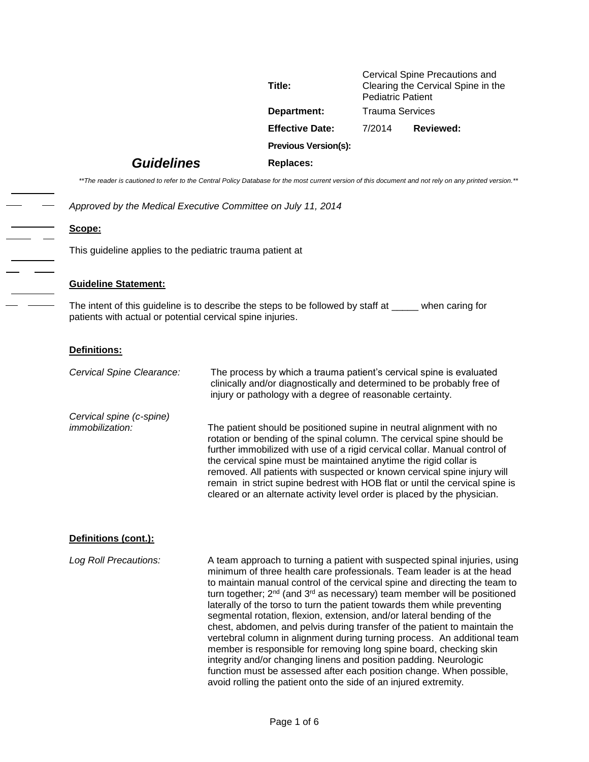| Title:                      | Cervical Spine Precautions and<br>Clearing the Cervical Spine in the<br><b>Pediatric Patient</b> |                  |
|-----------------------------|--------------------------------------------------------------------------------------------------|------------------|
| Department:                 | Trauma Services                                                                                  |                  |
| <b>Effective Date:</b>      | 7/2014                                                                                           | <b>Reviewed:</b> |
| <b>Previous Version(s):</b> |                                                                                                  |                  |
|                             |                                                                                                  |                  |

## *Guidelines* **Replaces:**

*\*\*The reader is cautioned to refer to the Central Policy Database for the most current version of this document and not rely on any printed version.\*\**

*Approved by the Medical Executive Committee on July 11, 2014*

**Scope:** 

This guideline applies to the pediatric trauma patient at

#### **Guideline Statement:**

*Cervical spine (c-spine)* 

The intent of this guideline is to describe the steps to be followed by staff at \_\_\_\_\_ when caring for patients with actual or potential cervical spine injuries.

#### **Definitions:**

*Cervical Spine Clearance:* The process by which a trauma patient's cervical spine is evaluated clinically and/or diagnostically and determined to be probably free of injury or pathology with a degree of reasonable certainty.

*immobilization:* The patient should be positioned supine in neutral alignment with no rotation or bending of the spinal column. The cervical spine should be further immobilized with use of a rigid cervical collar. Manual control of the cervical spine must be maintained anytime the rigid collar is removed. All patients with suspected or known cervical spine injury will remain in strict supine bedrest with HOB flat or until the cervical spine is cleared or an alternate activity level order is placed by the physician.

#### **Definitions (cont.):**

*Log Roll Precautions:* A team approach to turning a patient with suspected spinal injuries, using minimum of three health care professionals. Team leader is at the head to maintain manual control of the cervical spine and directing the team to turn together; 2<sup>nd</sup> (and 3<sup>rd</sup> as necessary) team member will be positioned laterally of the torso to turn the patient towards them while preventing segmental rotation, flexion, extension, and/or lateral bending of the chest, abdomen, and pelvis during transfer of the patient to maintain the vertebral column in alignment during turning process. An additional team member is responsible for removing long spine board, checking skin integrity and/or changing linens and position padding. Neurologic function must be assessed after each position change. When possible, avoid rolling the patient onto the side of an injured extremity.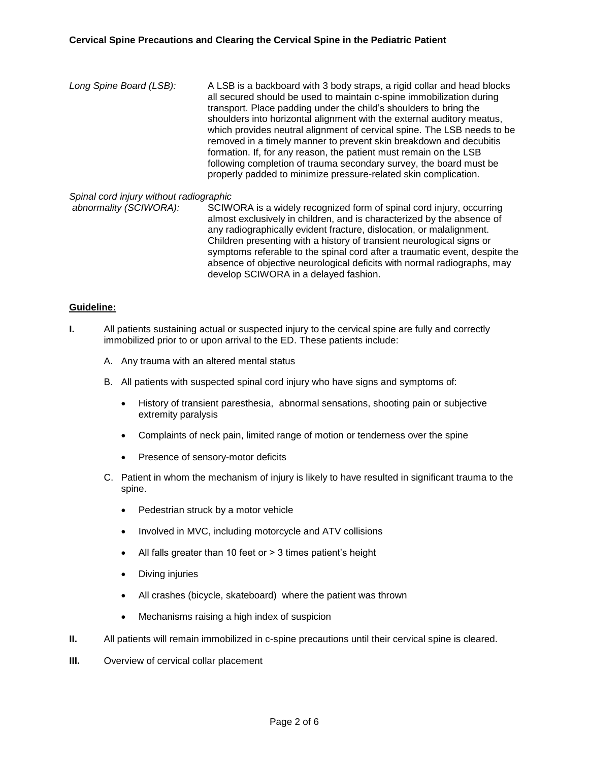*Long Spine Board (LSB):* A LSB is a backboard with 3 body straps, a rigid collar and head blocks all secured should be used to maintain c-spine immobilization during transport. Place padding under the child's shoulders to bring the shoulders into horizontal alignment with the external auditory meatus, which provides neutral alignment of cervical spine. The LSB needs to be removed in a timely manner to prevent skin breakdown and decubitis formation. If, for any reason, the patient must remain on the LSB following completion of trauma secondary survey, the board must be properly padded to minimize pressure-related skin complication.

# *Spinal cord injury without radiographic*

SCIWORA is a widely recognized form of spinal cord injury, occurring almost exclusively in children, and is characterized by the absence of any radiographically evident fracture, dislocation, or malalignment. Children presenting with a history of transient neurological signs or symptoms referable to the spinal cord after a traumatic event, despite the absence of objective neurological deficits with normal radiographs, may develop SCIWORA in a delayed fashion.

### **Guideline:**

- **I.** All patients sustaining actual or suspected injury to the cervical spine are fully and correctly immobilized prior to or upon arrival to the ED. These patients include:
	- A. Any trauma with an altered mental status
	- B. All patients with suspected spinal cord injury who have signs and symptoms of:
		- History of transient paresthesia, abnormal sensations, shooting pain or subjective extremity paralysis
		- Complaints of neck pain, limited range of motion or tenderness over the spine
		- Presence of sensory-motor deficits
	- C. Patient in whom the mechanism of injury is likely to have resulted in significant trauma to the spine.
		- Pedestrian struck by a motor vehicle
		- Involved in MVC, including motorcycle and ATV collisions
		- All falls greater than 10 feet or > 3 times patient's height
		- Diving injuries
		- All crashes (bicycle, skateboard) where the patient was thrown
		- Mechanisms raising a high index of suspicion
- **II.** All patients will remain immobilized in c-spine precautions until their cervical spine is cleared.
- **III.** Overview of cervical collar placement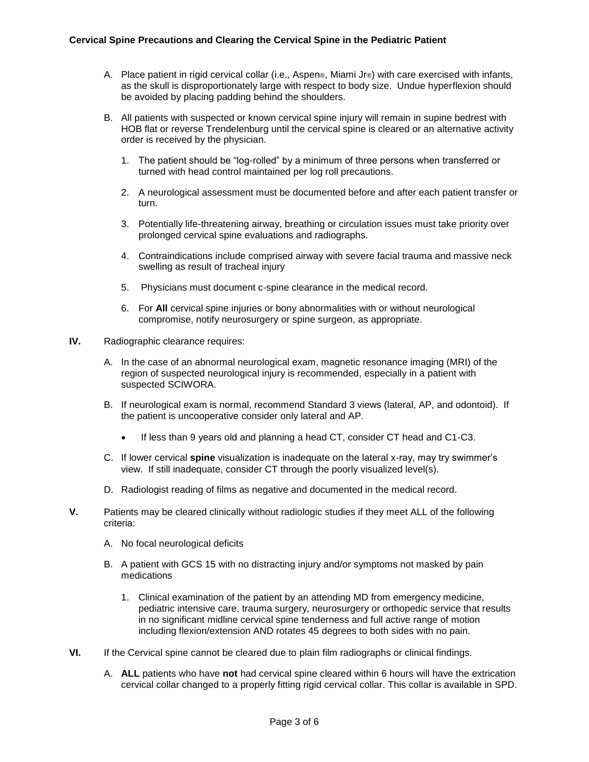- A. Place patient in rigid cervical collar (i.e., Aspen®, Miami Jr®) with care exercised with infants, as the skull is disproportionately large with respect to body size. Undue hyperflexion should be avoided by placing padding behind the shoulders.
- B. All patients with suspected or known cervical spine injury will remain in supine bedrest with HOB flat or reverse Trendelenburg until the cervical spine is cleared or an alternative activity order is received by the physician.
	- 1. The patient should be "log-rolled" by a minimum of three persons when transferred or turned with head control maintained per log roll precautions.
	- 2. A neurological assessment must be documented before and after each patient transfer or turn.
	- 3. Potentially life-threatening airway, breathing or circulation issues must take priority over prolonged cervical spine evaluations and radiographs.
	- 4. Contraindications include comprised airway with severe facial trauma and massive neck swelling as result of tracheal injury
	- 5. Physicians must document c-spine clearance in the medical record.
	- 6. For **All** cervical spine injuries or bony abnormalities with or without neurological compromise, notify neurosurgery or spine surgeon, as appropriate.
- **IV.** Radiographic clearance requires:
	- A. In the case of an abnormal neurological exam, magnetic resonance imaging (MRI) of the region of suspected neurological injury is recommended, especially in a patient with suspected SCIWORA.
	- B. If neurological exam is normal, recommend Standard 3 views (lateral, AP, and odontoid). If the patient is uncooperative consider only lateral and AP.
		- If less than 9 years old and planning a head CT, consider CT head and C1-C3.
	- C. If lower cervical **spine** visualization is inadequate on the lateral x-ray, may try swimmer's view. If still inadequate, consider CT through the poorly visualized level(s).
	- D. Radiologist reading of films as negative and documented in the medical record.
- **V.** Patients may be cleared clinically without radiologic studies if they meet ALL of the following criteria:
	- A. No focal neurological deficits
	- B. A patient with GCS 15 with no distracting injury and/or symptoms not masked by pain medications
		- 1. Clinical examination of the patient by an attending MD from emergency medicine, pediatric intensive care, trauma surgery, neurosurgery or orthopedic service that results in no significant midline cervical spine tenderness and full active range of motion including flexion/extension AND rotates 45 degrees to both sides with no pain.
- **VI.** If the Cervical spine cannot be cleared due to plain film radiographs or clinical findings.
	- A. **ALL** patients who have **not** had cervical spine cleared within 6 hours will have the extrication cervical collar changed to a properly fitting rigid cervical collar. This collar is available in SPD.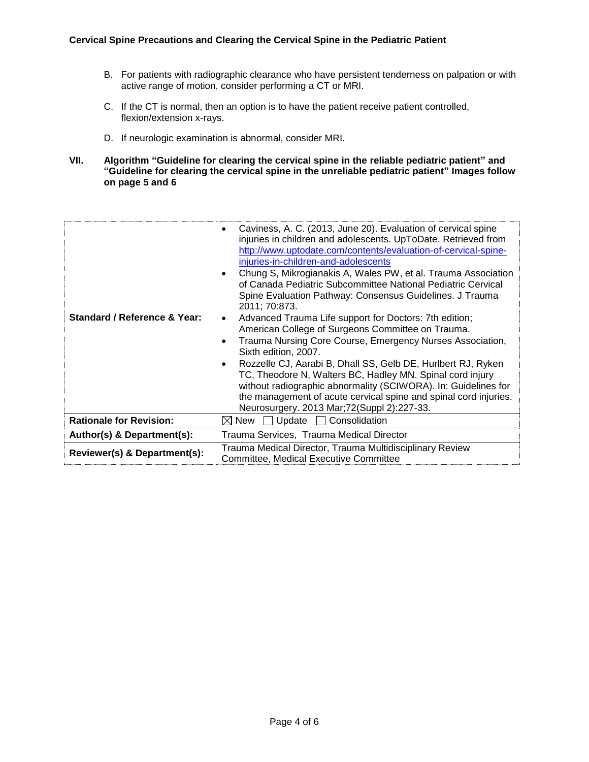- B. For patients with radiographic clearance who have persistent tenderness on palpation or with active range of motion, consider performing a CT or MRI.
- C. If the CT is normal, then an option is to have the patient receive patient controlled, flexion/extension x-rays.
- D. If neurologic examination is abnormal, consider MRI.
- **VII. Algorithm "Guideline for clearing the cervical spine in the reliable pediatric patient" and "Guideline for clearing the cervical spine in the unreliable pediatric patient" Images follow on page 5 and 6**

| Standard / Reference & Year:   | Caviness, A. C. (2013, June 20). Evaluation of cervical spine<br>٠<br>injuries in children and adolescents. UpToDate. Retrieved from<br>http://www.uptodate.com/contents/evaluation-of-cervical-spine-<br>injuries-in-children-and-adolescents<br>Chung S, Mikrogianakis A, Wales PW, et al. Trauma Association<br>of Canada Pediatric Subcommittee National Pediatric Cervical<br>Spine Evaluation Pathway: Consensus Guidelines. J Trauma<br>2011; 70:873.<br>Advanced Trauma Life support for Doctors: 7th edition;<br>American College of Surgeons Committee on Trauma.<br>Trauma Nursing Core Course, Emergency Nurses Association,<br>$\bullet$<br>Sixth edition, 2007.<br>Rozzelle CJ, Aarabi B, Dhall SS, Gelb DE, Hurlbert RJ, Ryken<br>٠<br>TC, Theodore N, Walters BC, Hadley MN. Spinal cord injury<br>without radiographic abnormality (SCIWORA). In: Guidelines for<br>the management of acute cervical spine and spinal cord injuries.<br>Neurosurgery. 2013 Mar;72(Suppl 2):227-33. |
|--------------------------------|-----------------------------------------------------------------------------------------------------------------------------------------------------------------------------------------------------------------------------------------------------------------------------------------------------------------------------------------------------------------------------------------------------------------------------------------------------------------------------------------------------------------------------------------------------------------------------------------------------------------------------------------------------------------------------------------------------------------------------------------------------------------------------------------------------------------------------------------------------------------------------------------------------------------------------------------------------------------------------------------------------|
| <b>Rationale for Revision:</b> | Consolidation<br>Update $\Box$<br>i⊠ New                                                                                                                                                                                                                                                                                                                                                                                                                                                                                                                                                                                                                                                                                                                                                                                                                                                                                                                                                            |
| Author(s) & Department(s):     | Trauma Services, Trauma Medical Director                                                                                                                                                                                                                                                                                                                                                                                                                                                                                                                                                                                                                                                                                                                                                                                                                                                                                                                                                            |
| Reviewer(s) & Department(s):   | Trauma Medical Director, Trauma Multidisciplinary Review<br><b>Committee, Medical Executive Committee</b>                                                                                                                                                                                                                                                                                                                                                                                                                                                                                                                                                                                                                                                                                                                                                                                                                                                                                           |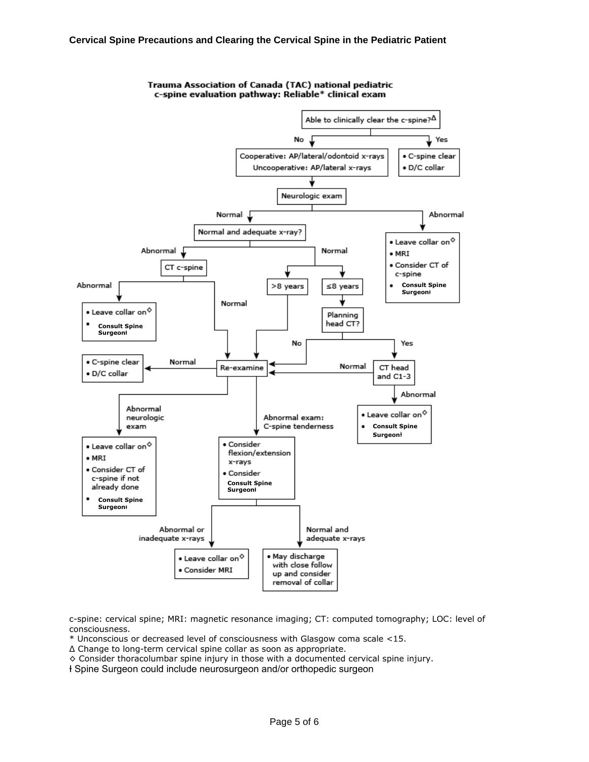

Trauma Association of Canada (TAC) national pediatric c-spine evaluation pathway: Reliable\* clinical exam

c-spine: cervical spine; MRI: magnetic resonance imaging; CT: computed tomography; LOC: level of consciousness.

\* Unconscious or decreased level of consciousness with Glasgow coma scale <15.

Δ Change to long-term cervical spine collar as soon as appropriate.

◊ Consider thoracolumbar spine injury in those with a documented cervical spine injury.

Ɨ Spine Surgeon could include neurosurgeon and/or orthopedic surgeon